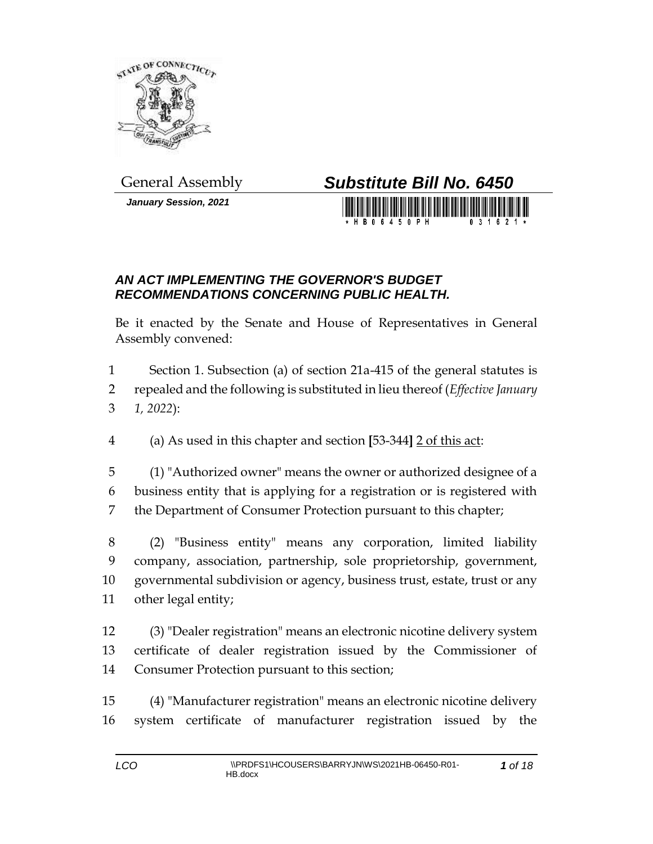

*January Session, 2021*

## General Assembly *Substitute Bill No. 6450*

## *AN ACT IMPLEMENTING THE GOVERNOR'S BUDGET RECOMMENDATIONS CONCERNING PUBLIC HEALTH.*

Be it enacted by the Senate and House of Representatives in General Assembly convened:

 Section 1. Subsection (a) of section 21a-415 of the general statutes is repealed and the following is substituted in lieu thereof (*Effective January 1, 2022*):

(a) As used in this chapter and section **[**53-344**]** 2 of this act:

 (1) "Authorized owner" means the owner or authorized designee of a business entity that is applying for a registration or is registered with the Department of Consumer Protection pursuant to this chapter;

 (2) "Business entity" means any corporation, limited liability company, association, partnership, sole proprietorship, government, governmental subdivision or agency, business trust, estate, trust or any other legal entity;

- (3) "Dealer registration" means an electronic nicotine delivery system certificate of dealer registration issued by the Commissioner of Consumer Protection pursuant to this section;
- (4) "Manufacturer registration" means an electronic nicotine delivery system certificate of manufacturer registration issued by the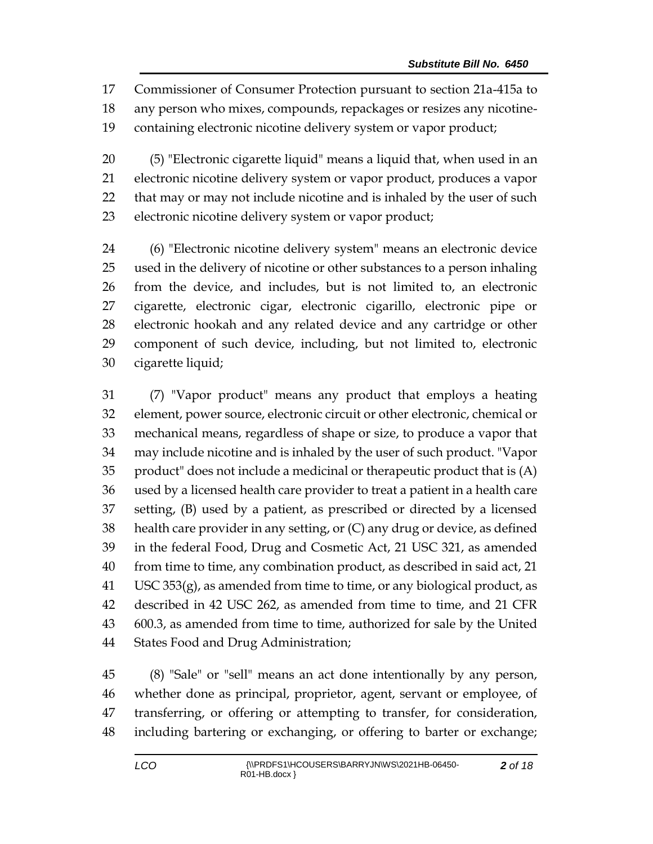Commissioner of Consumer Protection pursuant to section 21a-415a to any person who mixes, compounds, repackages or resizes any nicotine-containing electronic nicotine delivery system or vapor product;

 (5) "Electronic cigarette liquid" means a liquid that, when used in an electronic nicotine delivery system or vapor product, produces a vapor that may or may not include nicotine and is inhaled by the user of such electronic nicotine delivery system or vapor product;

 (6) "Electronic nicotine delivery system" means an electronic device used in the delivery of nicotine or other substances to a person inhaling from the device, and includes, but is not limited to, an electronic cigarette, electronic cigar, electronic cigarillo, electronic pipe or electronic hookah and any related device and any cartridge or other component of such device, including, but not limited to, electronic cigarette liquid;

 (7) "Vapor product" means any product that employs a heating element, power source, electronic circuit or other electronic, chemical or mechanical means, regardless of shape or size, to produce a vapor that may include nicotine and is inhaled by the user of such product. "Vapor product" does not include a medicinal or therapeutic product that is (A) used by a licensed health care provider to treat a patient in a health care setting, (B) used by a patient, as prescribed or directed by a licensed health care provider in any setting, or (C) any drug or device, as defined in the federal Food, Drug and Cosmetic Act, 21 USC 321, as amended from time to time, any combination product, as described in said act, 21 USC 353(g), as amended from time to time, or any biological product, as described in 42 USC 262, as amended from time to time, and 21 CFR 600.3, as amended from time to time, authorized for sale by the United States Food and Drug Administration;

 (8) "Sale" or "sell" means an act done intentionally by any person, whether done as principal, proprietor, agent, servant or employee, of transferring, or offering or attempting to transfer, for consideration, including bartering or exchanging, or offering to barter or exchange;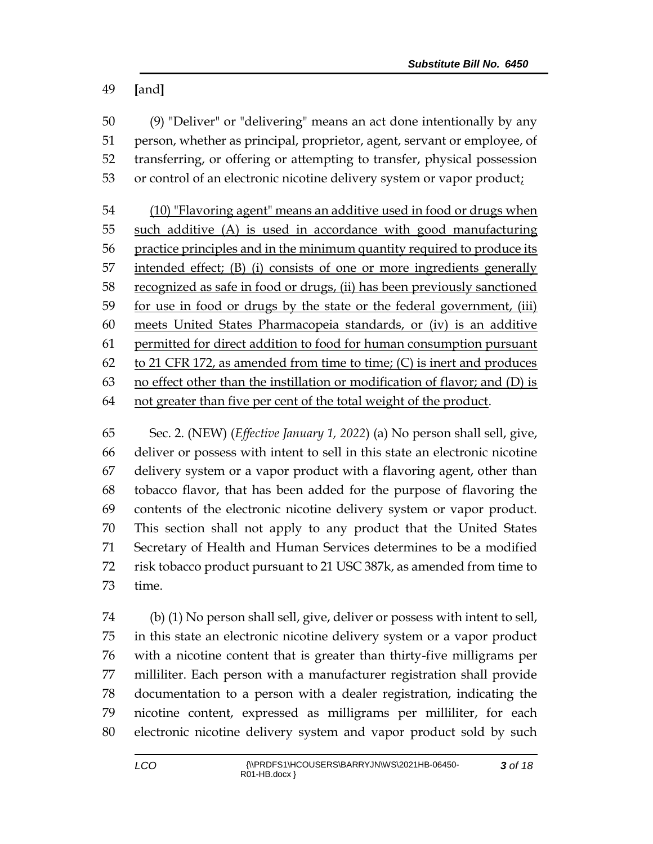**[**and**]**

 (9) "Deliver" or "delivering" means an act done intentionally by any person, whether as principal, proprietor, agent, servant or employee, of transferring, or offering or attempting to transfer, physical possession or control of an electronic nicotine delivery system or vapor product;

 (10) "Flavoring agent" means an additive used in food or drugs when such additive (A) is used in accordance with good manufacturing practice principles and in the minimum quantity required to produce its intended effect; (B) (i) consists of one or more ingredients generally recognized as safe in food or drugs, (ii) has been previously sanctioned for use in food or drugs by the state or the federal government, (iii) meets United States Pharmacopeia standards, or (iv) is an additive permitted for direct addition to food for human consumption pursuant 62 to 21 CFR 172, as amended from time to time;  $(C)$  is inert and produces no effect other than the instillation or modification of flavor; and (D) is not greater than five per cent of the total weight of the product.

 Sec. 2. (NEW) (*Effective January 1, 2022*) (a) No person shall sell, give, deliver or possess with intent to sell in this state an electronic nicotine delivery system or a vapor product with a flavoring agent, other than tobacco flavor, that has been added for the purpose of flavoring the contents of the electronic nicotine delivery system or vapor product. This section shall not apply to any product that the United States Secretary of Health and Human Services determines to be a modified risk tobacco product pursuant to 21 USC 387k, as amended from time to time.

 (b) (1) No person shall sell, give, deliver or possess with intent to sell, in this state an electronic nicotine delivery system or a vapor product with a nicotine content that is greater than thirty-five milligrams per milliliter. Each person with a manufacturer registration shall provide documentation to a person with a dealer registration, indicating the nicotine content, expressed as milligrams per milliliter, for each electronic nicotine delivery system and vapor product sold by such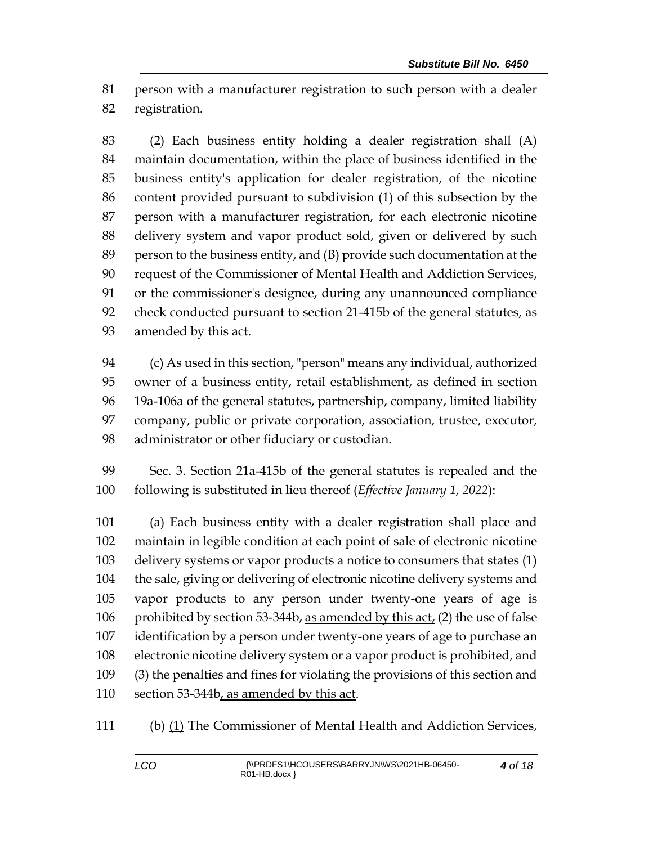person with a manufacturer registration to such person with a dealer registration.

 (2) Each business entity holding a dealer registration shall (A) maintain documentation, within the place of business identified in the business entity's application for dealer registration, of the nicotine content provided pursuant to subdivision (1) of this subsection by the person with a manufacturer registration, for each electronic nicotine delivery system and vapor product sold, given or delivered by such person to the business entity, and (B) provide such documentation at the request of the Commissioner of Mental Health and Addiction Services, or the commissioner's designee, during any unannounced compliance check conducted pursuant to section 21-415b of the general statutes, as amended by this act.

 (c) As used in this section, "person" means any individual, authorized owner of a business entity, retail establishment, as defined in section 19a-106a of the general statutes, partnership, company, limited liability company, public or private corporation, association, trustee, executor, administrator or other fiduciary or custodian.

 Sec. 3. Section 21a-415b of the general statutes is repealed and the following is substituted in lieu thereof (*Effective January 1, 2022*):

 (a) Each business entity with a dealer registration shall place and maintain in legible condition at each point of sale of electronic nicotine delivery systems or vapor products a notice to consumers that states (1) the sale, giving or delivering of electronic nicotine delivery systems and vapor products to any person under twenty-one years of age is 106 prohibited by section 53-344b, as amended by this act, (2) the use of false identification by a person under twenty-one years of age to purchase an electronic nicotine delivery system or a vapor product is prohibited, and (3) the penalties and fines for violating the provisions of this section and 110 section 53-344b, as amended by this act.

(b) (1) The Commissioner of Mental Health and Addiction Services,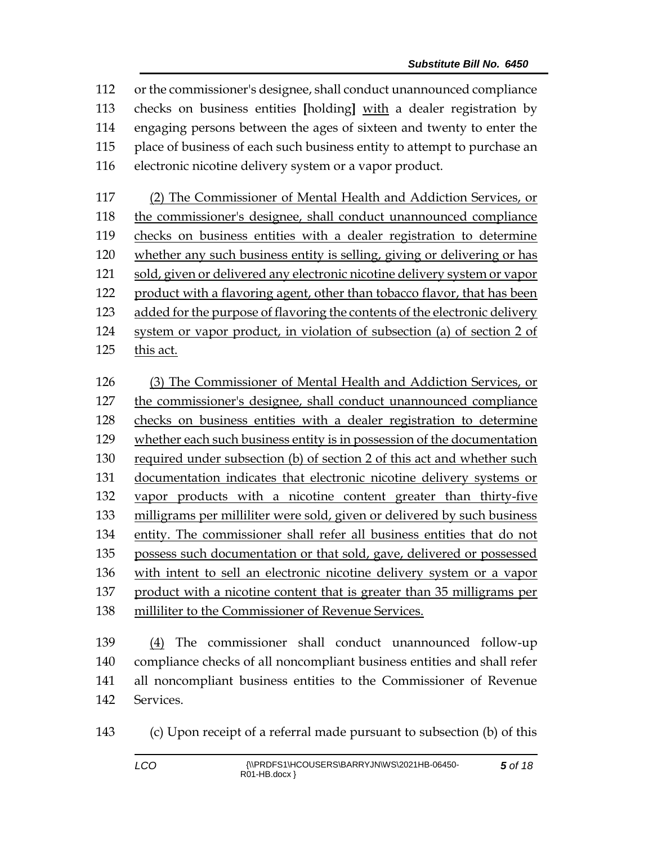or the commissioner's designee, shall conduct unannounced compliance checks on business entities **[**holding**]** with a dealer registration by engaging persons between the ages of sixteen and twenty to enter the place of business of each such business entity to attempt to purchase an electronic nicotine delivery system or a vapor product.

 (2) The Commissioner of Mental Health and Addiction Services, or the commissioner's designee, shall conduct unannounced compliance checks on business entities with a dealer registration to determine whether any such business entity is selling, giving or delivering or has sold, given or delivered any electronic nicotine delivery system or vapor product with a flavoring agent, other than tobacco flavor, that has been 123 added for the purpose of flavoring the contents of the electronic delivery system or vapor product, in violation of subsection (a) of section 2 of this act.

 (3) The Commissioner of Mental Health and Addiction Services, or the commissioner's designee, shall conduct unannounced compliance checks on business entities with a dealer registration to determine whether each such business entity is in possession of the documentation required under subsection (b) of section 2 of this act and whether such documentation indicates that electronic nicotine delivery systems or vapor products with a nicotine content greater than thirty-five milligrams per milliliter were sold, given or delivered by such business entity. The commissioner shall refer all business entities that do not possess such documentation or that sold, gave, delivered or possessed with intent to sell an electronic nicotine delivery system or a vapor product with a nicotine content that is greater than 35 milligrams per milliliter to the Commissioner of Revenue Services.

 (4) The commissioner shall conduct unannounced follow-up compliance checks of all noncompliant business entities and shall refer all noncompliant business entities to the Commissioner of Revenue Services.

(c) Upon receipt of a referral made pursuant to subsection (b) of this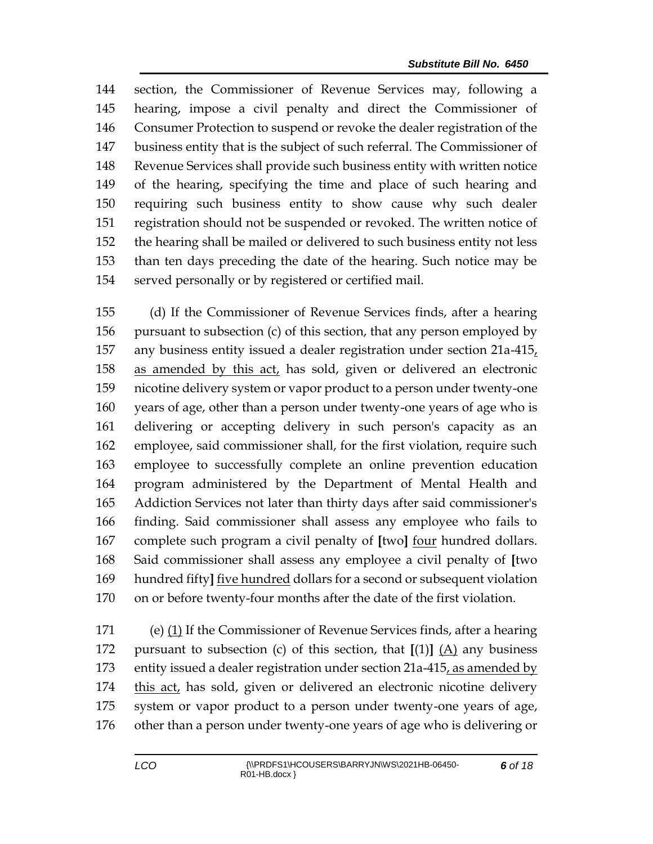section, the Commissioner of Revenue Services may, following a hearing, impose a civil penalty and direct the Commissioner of Consumer Protection to suspend or revoke the dealer registration of the business entity that is the subject of such referral. The Commissioner of Revenue Services shall provide such business entity with written notice of the hearing, specifying the time and place of such hearing and requiring such business entity to show cause why such dealer registration should not be suspended or revoked. The written notice of the hearing shall be mailed or delivered to such business entity not less than ten days preceding the date of the hearing. Such notice may be served personally or by registered or certified mail.

 (d) If the Commissioner of Revenue Services finds, after a hearing pursuant to subsection (c) of this section, that any person employed by any business entity issued a dealer registration under section 21a-415, as amended by this act, has sold, given or delivered an electronic nicotine delivery system or vapor product to a person under twenty-one years of age, other than a person under twenty-one years of age who is delivering or accepting delivery in such person's capacity as an employee, said commissioner shall, for the first violation, require such employee to successfully complete an online prevention education program administered by the Department of Mental Health and Addiction Services not later than thirty days after said commissioner's finding. Said commissioner shall assess any employee who fails to complete such program a civil penalty of **[**two**]** four hundred dollars. Said commissioner shall assess any employee a civil penalty of **[**two hundred fifty**]** five hundred dollars for a second or subsequent violation on or before twenty-four months after the date of the first violation.

 (e) (1) If the Commissioner of Revenue Services finds, after a hearing pursuant to subsection (c) of this section, that **[**(1)**]** (A) any business entity issued a dealer registration under section 21a-415, as amended by this act, has sold, given or delivered an electronic nicotine delivery system or vapor product to a person under twenty-one years of age, other than a person under twenty-one years of age who is delivering or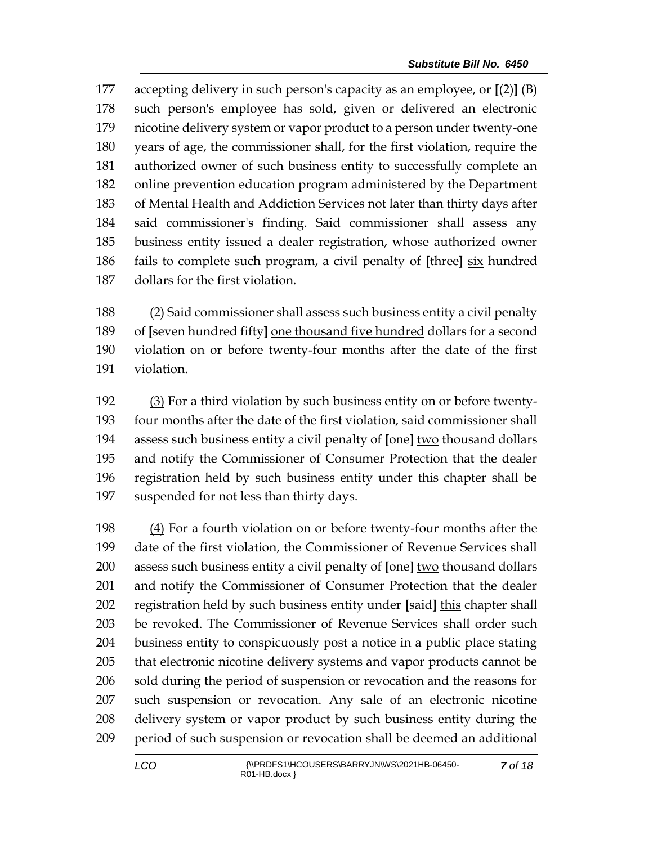accepting delivery in such person's capacity as an employee, or **[**(2)**]** (B) such person's employee has sold, given or delivered an electronic nicotine delivery system or vapor product to a person under twenty-one years of age, the commissioner shall, for the first violation, require the authorized owner of such business entity to successfully complete an online prevention education program administered by the Department of Mental Health and Addiction Services not later than thirty days after said commissioner's finding. Said commissioner shall assess any business entity issued a dealer registration, whose authorized owner fails to complete such program, a civil penalty of **[**three**]** six hundred dollars for the first violation.

 (2) Said commissioner shall assess such business entity a civil penalty of **[**seven hundred fifty**]** one thousand five hundred dollars for a second violation on or before twenty-four months after the date of the first violation.

 (3) For a third violation by such business entity on or before twenty- four months after the date of the first violation, said commissioner shall assess such business entity a civil penalty of **[**one**]** two thousand dollars and notify the Commissioner of Consumer Protection that the dealer registration held by such business entity under this chapter shall be suspended for not less than thirty days.

 (4) For a fourth violation on or before twenty-four months after the date of the first violation, the Commissioner of Revenue Services shall assess such business entity a civil penalty of **[**one**]** two thousand dollars and notify the Commissioner of Consumer Protection that the dealer registration held by such business entity under **[**said**]** this chapter shall be revoked. The Commissioner of Revenue Services shall order such business entity to conspicuously post a notice in a public place stating that electronic nicotine delivery systems and vapor products cannot be sold during the period of suspension or revocation and the reasons for such suspension or revocation. Any sale of an electronic nicotine delivery system or vapor product by such business entity during the period of such suspension or revocation shall be deemed an additional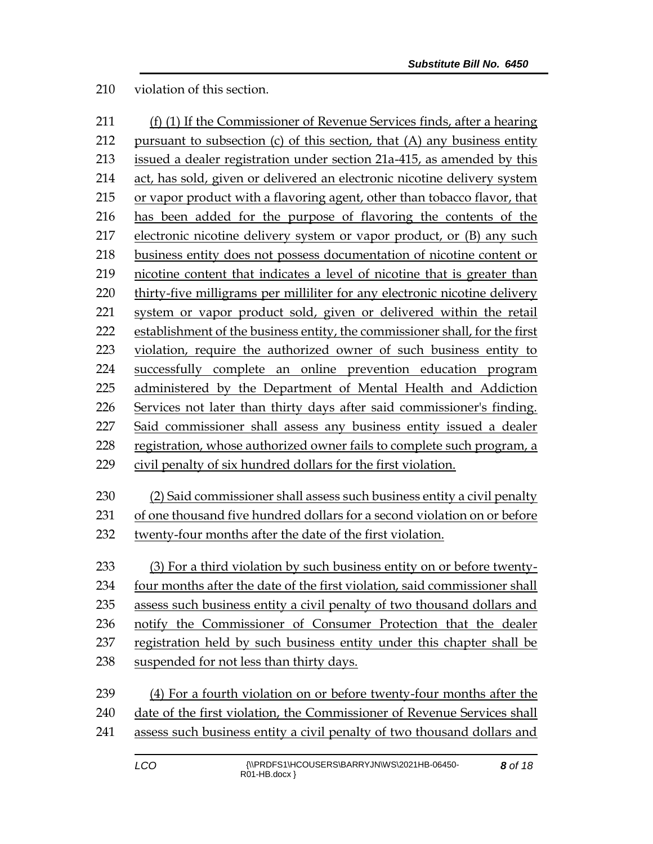violation of this section.

| 211 | (f) (1) If the Commissioner of Revenue Services finds, after a hearing      |  |
|-----|-----------------------------------------------------------------------------|--|
| 212 | pursuant to subsection (c) of this section, that (A) any business entity    |  |
| 213 | issued a dealer registration under section 21a-415, as amended by this      |  |
| 214 | act, has sold, given or delivered an electronic nicotine delivery system    |  |
| 215 | or vapor product with a flavoring agent, other than tobacco flavor, that    |  |
| 216 | has been added for the purpose of flavoring the contents of the             |  |
| 217 | electronic nicotine delivery system or vapor product, or (B) any such       |  |
| 218 | business entity does not possess documentation of nicotine content or       |  |
| 219 | nicotine content that indicates a level of nicotine that is greater than    |  |
| 220 | thirty-five milligrams per milliliter for any electronic nicotine delivery  |  |
| 221 | system or vapor product sold, given or delivered within the retail          |  |
| 222 | establishment of the business entity, the commissioner shall, for the first |  |
| 223 | violation, require the authorized owner of such business entity to          |  |
| 224 | successfully complete an online prevention education program                |  |
| 225 | administered by the Department of Mental Health and Addiction               |  |
| 226 | Services not later than thirty days after said commissioner's finding.      |  |
| 227 | Said commissioner shall assess any business entity issued a dealer          |  |
| 228 | registration, whose authorized owner fails to complete such program, a      |  |
| 229 | civil penalty of six hundred dollars for the first violation.               |  |
| 230 | (2) Said commissioner shall assess such business entity a civil penalty     |  |
| 231 | of one thousand five hundred dollars for a second violation on or before    |  |
| 232 | twenty-four months after the date of the first violation.                   |  |
|     |                                                                             |  |
| 233 | (3) For a third violation by such business entity on or before twenty-      |  |
| 234 | four months after the date of the first violation, said commissioner shall  |  |
| 235 | assess such business entity a civil penalty of two thousand dollars and     |  |
| 236 | notify the Commissioner of Consumer Protection that the dealer              |  |
| 237 | registration held by such business entity under this chapter shall be       |  |
| 238 | suspended for not less than thirty days.                                    |  |
| 239 | (4) For a fourth violation on or before twenty-four months after the        |  |

240 date of the first violation, the Commissioner of Revenue Services shall assess such business entity a civil penalty of two thousand dollars and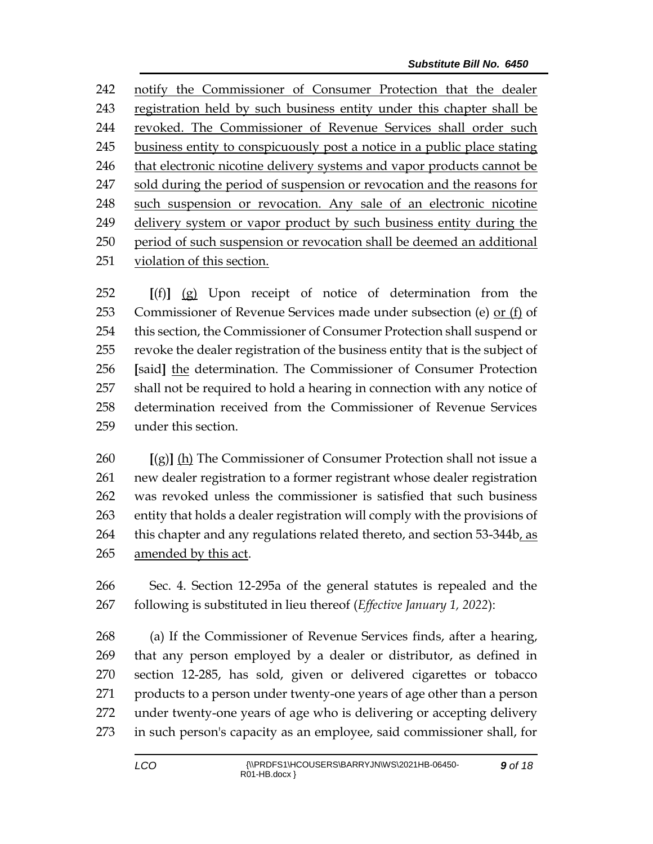notify the Commissioner of Consumer Protection that the dealer registration held by such business entity under this chapter shall be revoked. The Commissioner of Revenue Services shall order such business entity to conspicuously post a notice in a public place stating that electronic nicotine delivery systems and vapor products cannot be 247 sold during the period of suspension or revocation and the reasons for such suspension or revocation. Any sale of an electronic nicotine delivery system or vapor product by such business entity during the period of such suspension or revocation shall be deemed an additional violation of this section.

 **[**(f)**]** (g) Upon receipt of notice of determination from the Commissioner of Revenue Services made under subsection (e) or (f) of this section, the Commissioner of Consumer Protection shall suspend or revoke the dealer registration of the business entity that is the subject of **[**said**]** the determination. The Commissioner of Consumer Protection shall not be required to hold a hearing in connection with any notice of determination received from the Commissioner of Revenue Services under this section.

 **[**(g)**]** (h) The Commissioner of Consumer Protection shall not issue a new dealer registration to a former registrant whose dealer registration was revoked unless the commissioner is satisfied that such business entity that holds a dealer registration will comply with the provisions of 264 this chapter and any regulations related thereto, and section 53-344b, as amended by this act.

 Sec. 4. Section 12-295a of the general statutes is repealed and the following is substituted in lieu thereof (*Effective January 1, 2022*):

 (a) If the Commissioner of Revenue Services finds, after a hearing, that any person employed by a dealer or distributor, as defined in section 12-285, has sold, given or delivered cigarettes or tobacco products to a person under twenty-one years of age other than a person under twenty-one years of age who is delivering or accepting delivery in such person's capacity as an employee, said commissioner shall, for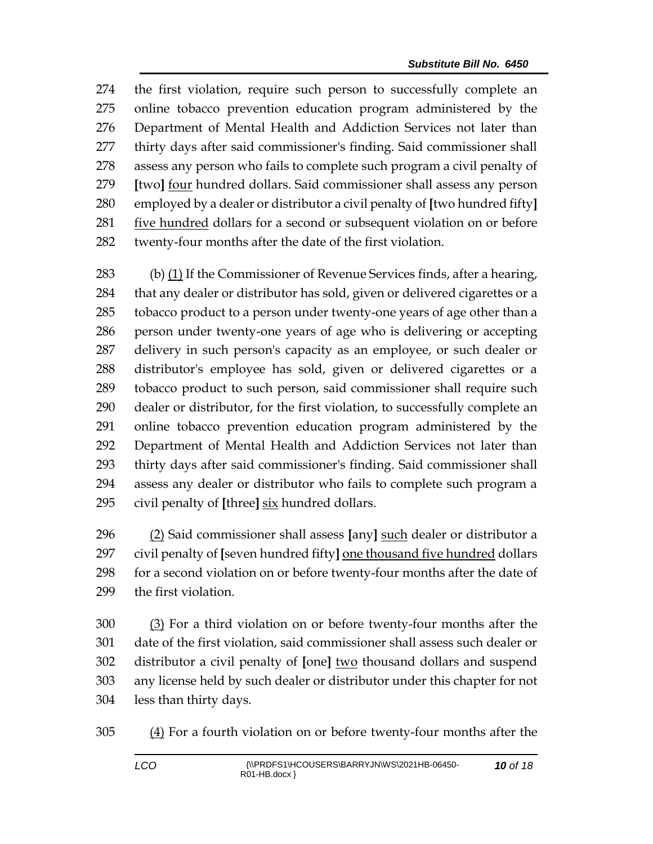the first violation, require such person to successfully complete an online tobacco prevention education program administered by the Department of Mental Health and Addiction Services not later than thirty days after said commissioner's finding. Said commissioner shall assess any person who fails to complete such program a civil penalty of **[**two**]** <u>four</u> hundred dollars. Said commissioner shall assess any person employed by a dealer or distributor a civil penalty of **[**two hundred fifty**]** five hundred dollars for a second or subsequent violation on or before twenty-four months after the date of the first violation.

283 (b)  $(1)$  If the Commissioner of Revenue Services finds, after a hearing, that any dealer or distributor has sold, given or delivered cigarettes or a tobacco product to a person under twenty-one years of age other than a person under twenty-one years of age who is delivering or accepting delivery in such person's capacity as an employee, or such dealer or distributor's employee has sold, given or delivered cigarettes or a tobacco product to such person, said commissioner shall require such dealer or distributor, for the first violation, to successfully complete an online tobacco prevention education program administered by the Department of Mental Health and Addiction Services not later than thirty days after said commissioner's finding. Said commissioner shall assess any dealer or distributor who fails to complete such program a civil penalty of **[**three**]** six hundred dollars.

 (2) Said commissioner shall assess **[**any**]** such dealer or distributor a civil penalty of **[**seven hundred fifty**]** one thousand five hundred dollars for a second violation on or before twenty-four months after the date of the first violation.

 (3) For a third violation on or before twenty-four months after the date of the first violation, said commissioner shall assess such dealer or distributor a civil penalty of **[**one**]** two thousand dollars and suspend any license held by such dealer or distributor under this chapter for not less than thirty days.

(4) For a fourth violation on or before twenty-four months after the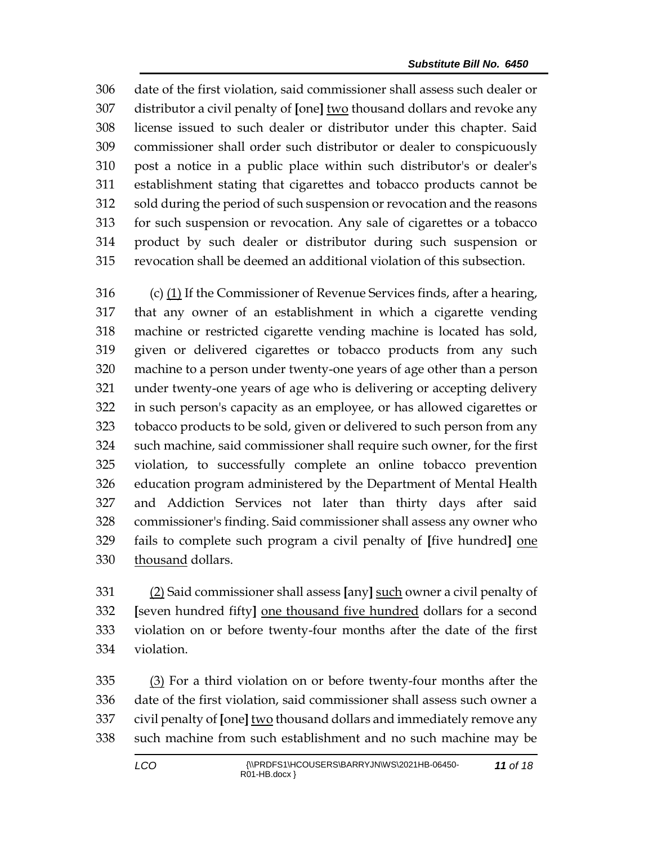date of the first violation, said commissioner shall assess such dealer or distributor a civil penalty of **[**one**]** two thousand dollars and revoke any license issued to such dealer or distributor under this chapter. Said commissioner shall order such distributor or dealer to conspicuously post a notice in a public place within such distributor's or dealer's establishment stating that cigarettes and tobacco products cannot be sold during the period of such suspension or revocation and the reasons for such suspension or revocation. Any sale of cigarettes or a tobacco product by such dealer or distributor during such suspension or revocation shall be deemed an additional violation of this subsection.

 (c) (1) If the Commissioner of Revenue Services finds, after a hearing, that any owner of an establishment in which a cigarette vending machine or restricted cigarette vending machine is located has sold, given or delivered cigarettes or tobacco products from any such machine to a person under twenty-one years of age other than a person under twenty-one years of age who is delivering or accepting delivery in such person's capacity as an employee, or has allowed cigarettes or tobacco products to be sold, given or delivered to such person from any such machine, said commissioner shall require such owner, for the first violation, to successfully complete an online tobacco prevention education program administered by the Department of Mental Health and Addiction Services not later than thirty days after said commissioner's finding. Said commissioner shall assess any owner who fails to complete such program a civil penalty of **[**five hundred**]** one thousand dollars.

 (2) Said commissioner shall assess **[**any**]** such owner a civil penalty of **[**seven hundred fifty**]** one thousand five hundred dollars for a second violation on or before twenty-four months after the date of the first violation.

 (3) For a third violation on or before twenty-four months after the date of the first violation, said commissioner shall assess such owner a civil penalty of **[**one**]** two thousand dollars and immediately remove any such machine from such establishment and no such machine may be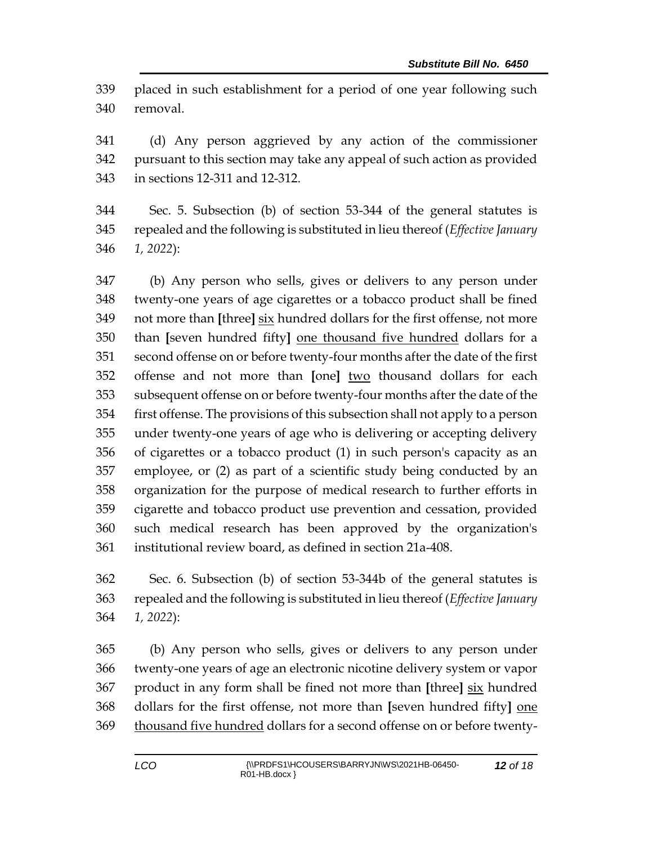placed in such establishment for a period of one year following such removal.

 (d) Any person aggrieved by any action of the commissioner pursuant to this section may take any appeal of such action as provided in sections 12-311 and 12-312.

 Sec. 5. Subsection (b) of section 53-344 of the general statutes is repealed and the following is substituted in lieu thereof (*Effective January 1, 2022*):

 (b) Any person who sells, gives or delivers to any person under twenty-one years of age cigarettes or a tobacco product shall be fined not more than **[**three**]** six hundred dollars for the first offense, not more than **[**seven hundred fifty**]** one thousand five hundred dollars for a second offense on or before twenty-four months after the date of the first offense and not more than **[**one**]** two thousand dollars for each subsequent offense on or before twenty-four months after the date of the first offense. The provisions of this subsection shall not apply to a person under twenty-one years of age who is delivering or accepting delivery of cigarettes or a tobacco product (1) in such person's capacity as an employee, or (2) as part of a scientific study being conducted by an organization for the purpose of medical research to further efforts in cigarette and tobacco product use prevention and cessation, provided such medical research has been approved by the organization's institutional review board, as defined in section 21a-408.

 Sec. 6. Subsection (b) of section 53-344b of the general statutes is repealed and the following is substituted in lieu thereof (*Effective January 1, 2022*):

 (b) Any person who sells, gives or delivers to any person under twenty-one years of age an electronic nicotine delivery system or vapor product in any form shall be fined not more than **[**three**]** six hundred dollars for the first offense, not more than **[**seven hundred fifty**]** one 369 thousand five hundred dollars for a second offense on or before twenty-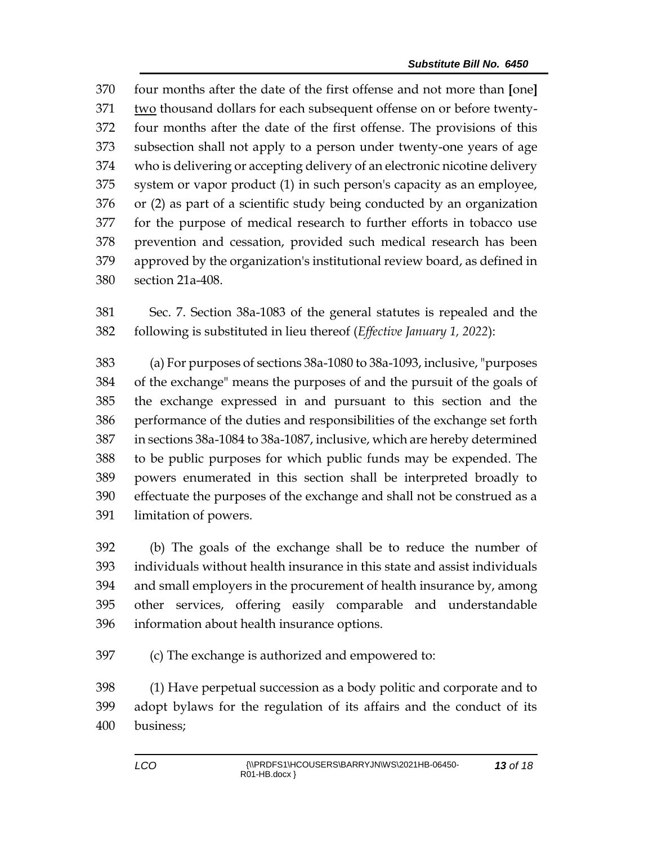four months after the date of the first offense and not more than **[**one**]** two thousand dollars for each subsequent offense on or before twenty- four months after the date of the first offense. The provisions of this subsection shall not apply to a person under twenty-one years of age who is delivering or accepting delivery of an electronic nicotine delivery system or vapor product (1) in such person's capacity as an employee, or (2) as part of a scientific study being conducted by an organization for the purpose of medical research to further efforts in tobacco use prevention and cessation, provided such medical research has been approved by the organization's institutional review board, as defined in section 21a-408.

 Sec. 7. Section 38a-1083 of the general statutes is repealed and the following is substituted in lieu thereof (*Effective January 1, 2022*):

 (a) For purposes of sections 38a-1080 to 38a-1093, inclusive, "purposes of the exchange" means the purposes of and the pursuit of the goals of the exchange expressed in and pursuant to this section and the performance of the duties and responsibilities of the exchange set forth in sections 38a-1084 to 38a-1087, inclusive, which are hereby determined to be public purposes for which public funds may be expended. The powers enumerated in this section shall be interpreted broadly to effectuate the purposes of the exchange and shall not be construed as a limitation of powers.

 (b) The goals of the exchange shall be to reduce the number of individuals without health insurance in this state and assist individuals and small employers in the procurement of health insurance by, among other services, offering easily comparable and understandable information about health insurance options.

(c) The exchange is authorized and empowered to:

 (1) Have perpetual succession as a body politic and corporate and to adopt bylaws for the regulation of its affairs and the conduct of its business;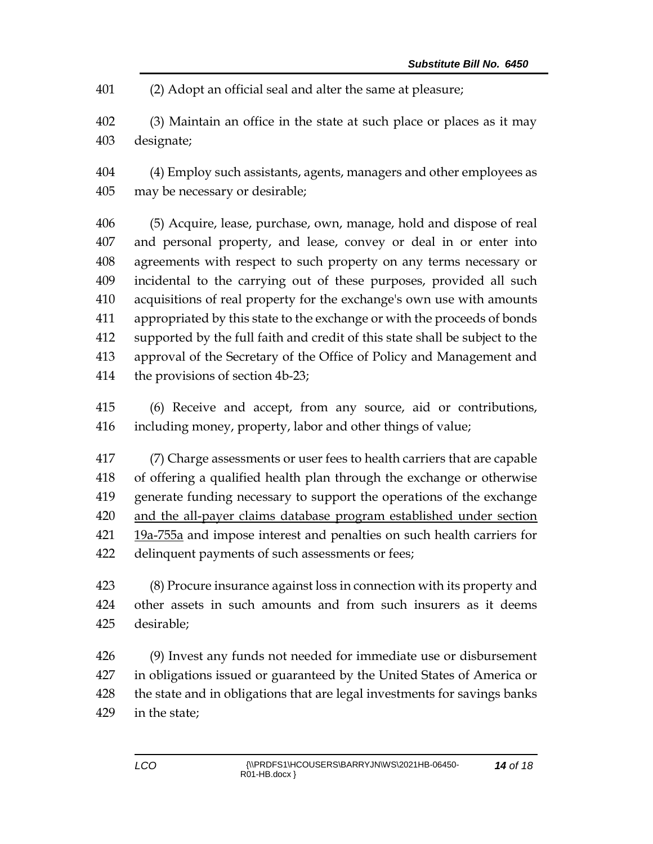(2) Adopt an official seal and alter the same at pleasure;

 (3) Maintain an office in the state at such place or places as it may designate;

 (4) Employ such assistants, agents, managers and other employees as may be necessary or desirable;

 (5) Acquire, lease, purchase, own, manage, hold and dispose of real and personal property, and lease, convey or deal in or enter into agreements with respect to such property on any terms necessary or incidental to the carrying out of these purposes, provided all such acquisitions of real property for the exchange's own use with amounts appropriated by this state to the exchange or with the proceeds of bonds supported by the full faith and credit of this state shall be subject to the approval of the Secretary of the Office of Policy and Management and the provisions of section 4b-23;

 (6) Receive and accept, from any source, aid or contributions, including money, property, labor and other things of value;

 (7) Charge assessments or user fees to health carriers that are capable of offering a qualified health plan through the exchange or otherwise generate funding necessary to support the operations of the exchange and the all-payer claims database program established under section 19a-755a and impose interest and penalties on such health carriers for delinquent payments of such assessments or fees;

 (8) Procure insurance against loss in connection with its property and other assets in such amounts and from such insurers as it deems desirable;

 (9) Invest any funds not needed for immediate use or disbursement in obligations issued or guaranteed by the United States of America or the state and in obligations that are legal investments for savings banks in the state;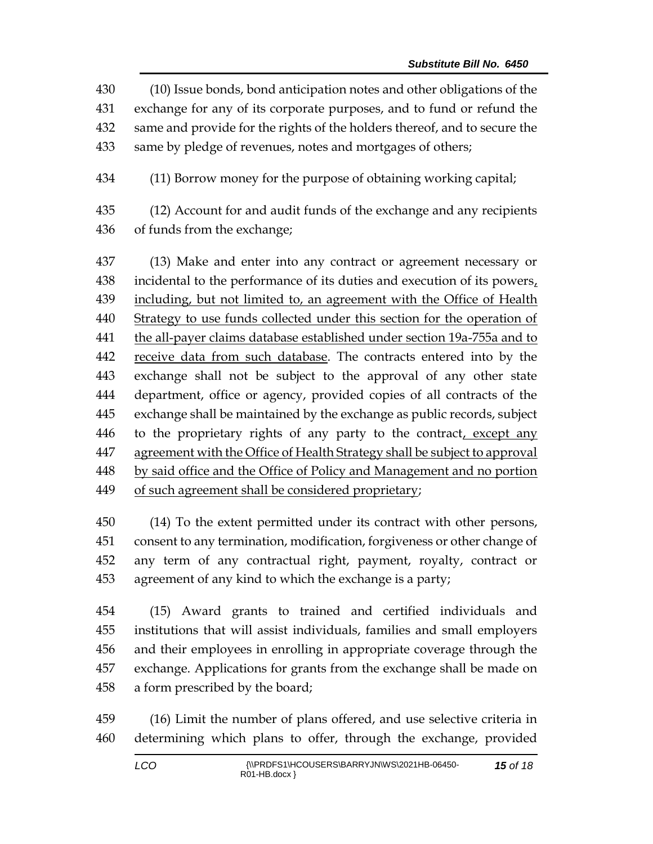- (10) Issue bonds, bond anticipation notes and other obligations of the exchange for any of its corporate purposes, and to fund or refund the same and provide for the rights of the holders thereof, and to secure the same by pledge of revenues, notes and mortgages of others;
- (11) Borrow money for the purpose of obtaining working capital;
- (12) Account for and audit funds of the exchange and any recipients of funds from the exchange;

 (13) Make and enter into any contract or agreement necessary or incidental to the performance of its duties and execution of its powers, including, but not limited to, an agreement with the Office of Health Strategy to use funds collected under this section for the operation of the all-payer claims database established under section 19a-755a and to 442 receive data from such database. The contracts entered into by the exchange shall not be subject to the approval of any other state department, office or agency, provided copies of all contracts of the exchange shall be maintained by the exchange as public records, subject to the proprietary rights of any party to the contract, except any agreement with the Office of Health Strategy shall be subject to approval by said office and the Office of Policy and Management and no portion 449 of such agreement shall be considered proprietary;

 (14) To the extent permitted under its contract with other persons, consent to any termination, modification, forgiveness or other change of any term of any contractual right, payment, royalty, contract or agreement of any kind to which the exchange is a party;

 (15) Award grants to trained and certified individuals and institutions that will assist individuals, families and small employers and their employees in enrolling in appropriate coverage through the exchange. Applications for grants from the exchange shall be made on a form prescribed by the board;

 (16) Limit the number of plans offered, and use selective criteria in determining which plans to offer, through the exchange, provided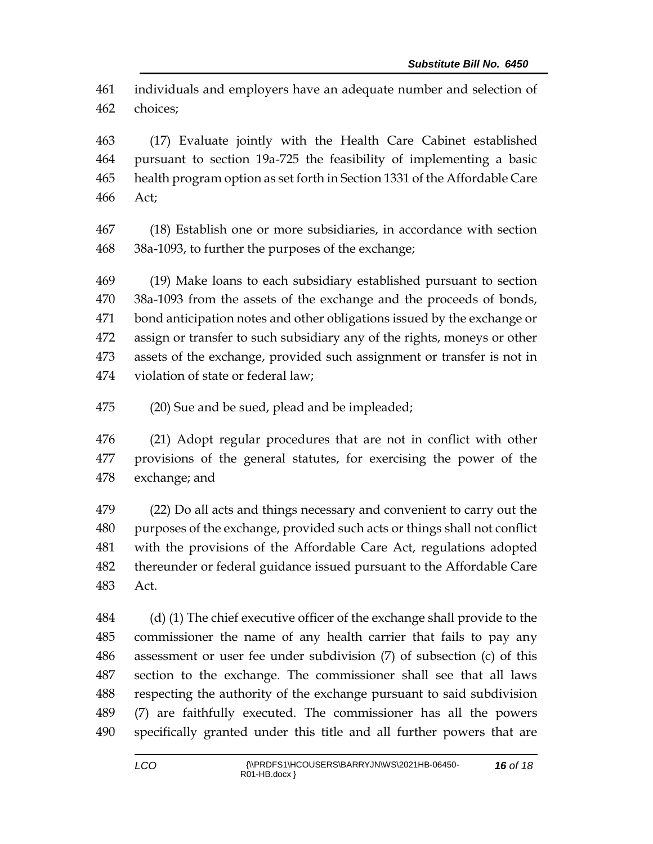individuals and employers have an adequate number and selection of choices;

 (17) Evaluate jointly with the Health Care Cabinet established pursuant to section 19a-725 the feasibility of implementing a basic health program option as set forth in Section 1331 of the Affordable Care Act;

 (18) Establish one or more subsidiaries, in accordance with section 38a-1093, to further the purposes of the exchange;

 (19) Make loans to each subsidiary established pursuant to section 38a-1093 from the assets of the exchange and the proceeds of bonds, bond anticipation notes and other obligations issued by the exchange or assign or transfer to such subsidiary any of the rights, moneys or other assets of the exchange, provided such assignment or transfer is not in violation of state or federal law;

(20) Sue and be sued, plead and be impleaded;

 (21) Adopt regular procedures that are not in conflict with other provisions of the general statutes, for exercising the power of the exchange; and

 (22) Do all acts and things necessary and convenient to carry out the purposes of the exchange, provided such acts or things shall not conflict with the provisions of the Affordable Care Act, regulations adopted thereunder or federal guidance issued pursuant to the Affordable Care Act.

 (d) (1) The chief executive officer of the exchange shall provide to the commissioner the name of any health carrier that fails to pay any assessment or user fee under subdivision (7) of subsection (c) of this section to the exchange. The commissioner shall see that all laws respecting the authority of the exchange pursuant to said subdivision (7) are faithfully executed. The commissioner has all the powers specifically granted under this title and all further powers that are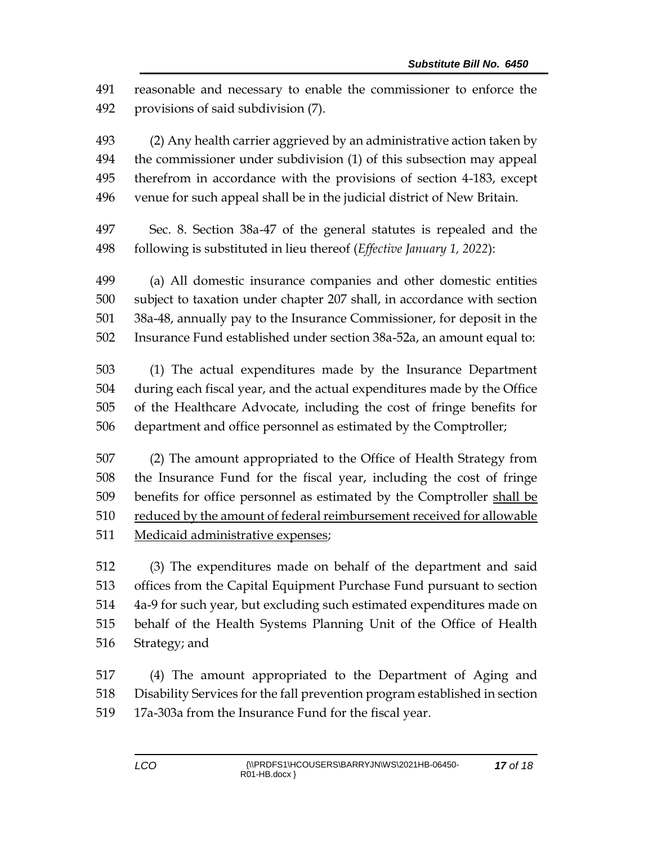reasonable and necessary to enable the commissioner to enforce the provisions of said subdivision (7).

 (2) Any health carrier aggrieved by an administrative action taken by the commissioner under subdivision (1) of this subsection may appeal therefrom in accordance with the provisions of section 4-183, except venue for such appeal shall be in the judicial district of New Britain.

 Sec. 8. Section 38a-47 of the general statutes is repealed and the following is substituted in lieu thereof (*Effective January 1, 2022*):

 (a) All domestic insurance companies and other domestic entities subject to taxation under chapter 207 shall, in accordance with section 38a-48, annually pay to the Insurance Commissioner, for deposit in the Insurance Fund established under section 38a-52a, an amount equal to:

 (1) The actual expenditures made by the Insurance Department during each fiscal year, and the actual expenditures made by the Office of the Healthcare Advocate, including the cost of fringe benefits for department and office personnel as estimated by the Comptroller;

 (2) The amount appropriated to the Office of Health Strategy from the Insurance Fund for the fiscal year, including the cost of fringe benefits for office personnel as estimated by the Comptroller shall be reduced by the amount of federal reimbursement received for allowable Medicaid administrative expenses;

 (3) The expenditures made on behalf of the department and said offices from the Capital Equipment Purchase Fund pursuant to section 4a-9 for such year, but excluding such estimated expenditures made on behalf of the Health Systems Planning Unit of the Office of Health Strategy; and

 (4) The amount appropriated to the Department of Aging and Disability Services for the fall prevention program established in section 17a-303a from the Insurance Fund for the fiscal year.